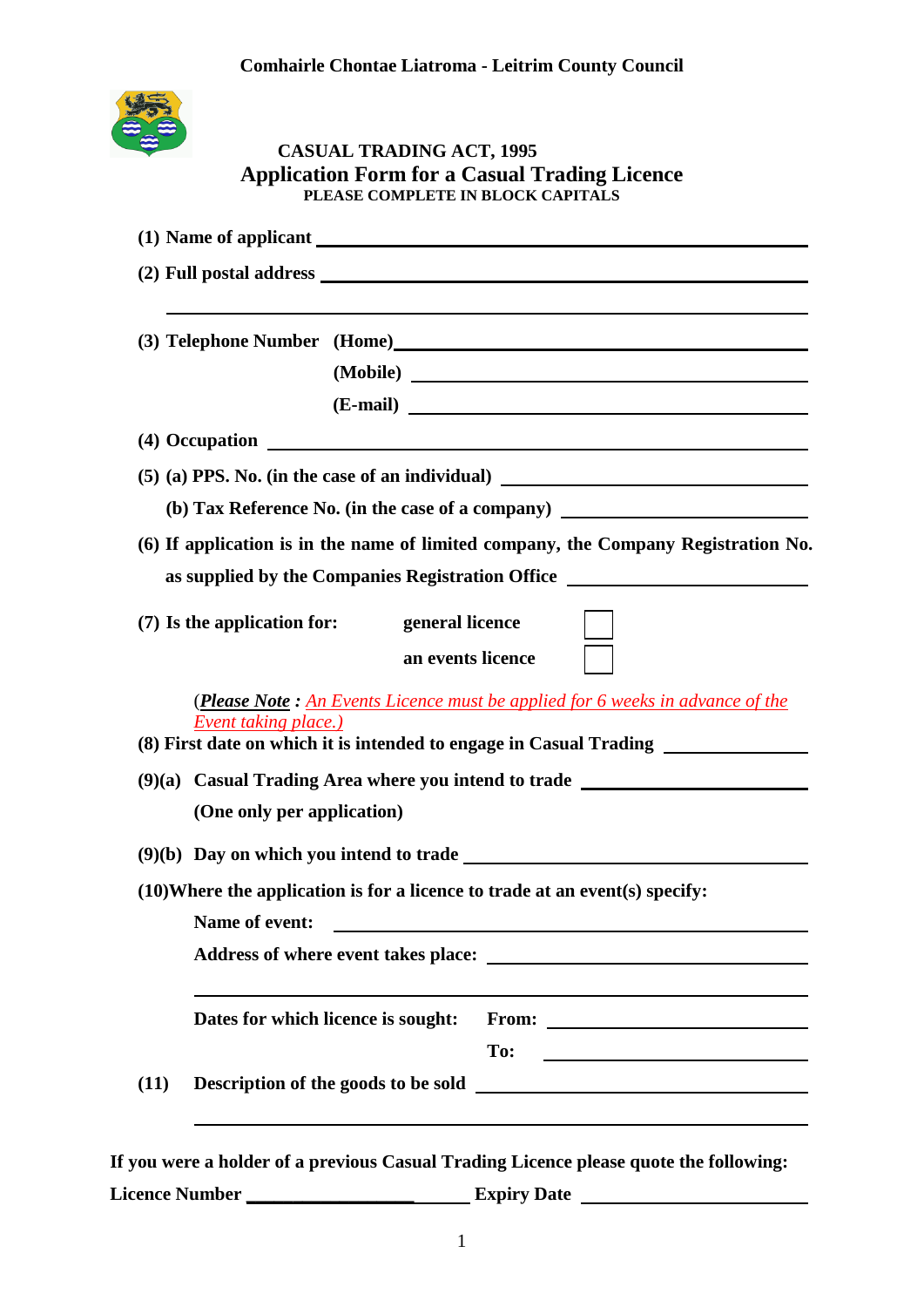

### **CASUAL TRADING ACT, 1995 Application Form for a Casual Trading Licence PLEASE COMPLETE IN BLOCK CAPITALS**

|                       | (3) Telephone Number (Home)                                                                                                                                                                      |  |
|-----------------------|--------------------------------------------------------------------------------------------------------------------------------------------------------------------------------------------------|--|
|                       | (Mobile)                                                                                                                                                                                         |  |
|                       |                                                                                                                                                                                                  |  |
|                       |                                                                                                                                                                                                  |  |
|                       |                                                                                                                                                                                                  |  |
|                       | (b) Tax Reference No. (in the case of a company) ________________________________                                                                                                                |  |
|                       | (6) If application is in the name of limited company, the Company Registration No.                                                                                                               |  |
|                       | as supplied by the Companies Registration Office _______________________________                                                                                                                 |  |
|                       | (7) Is the application for:<br>general licence<br>an events licence                                                                                                                              |  |
|                       | (Please Note: An Events Licence must be applied for 6 weeks in advance of the<br><b>Event taking place.)</b><br>(8) First date on which it is intended to engage in Casual Trading _____________ |  |
|                       | (9)(a) Casual Trading Area where you intend to trade                                                                                                                                             |  |
|                       | (One only per application)                                                                                                                                                                       |  |
|                       |                                                                                                                                                                                                  |  |
|                       | (10) Where the application is for a licence to trade at an event(s) specify:                                                                                                                     |  |
| <b>Name of event:</b> |                                                                                                                                                                                                  |  |
|                       |                                                                                                                                                                                                  |  |
|                       | Dates for which licence is sought:<br>From: $\qquad \qquad$                                                                                                                                      |  |
| (11)                  | To:<br><u> 1989 - Johann Barbara, martxa al</u><br>Description of the goods to be sold                                                                                                           |  |
|                       | kelder of a nucrious Casual Tuading Licence places, quote the following                                                                                                                          |  |

**If you were a holder of a previous Casual Trading Licence please quote the following: Licence Number \_\_\_\_\_\_\_\_\_\_\_\_\_\_\_\_\_\_ Expiry Date**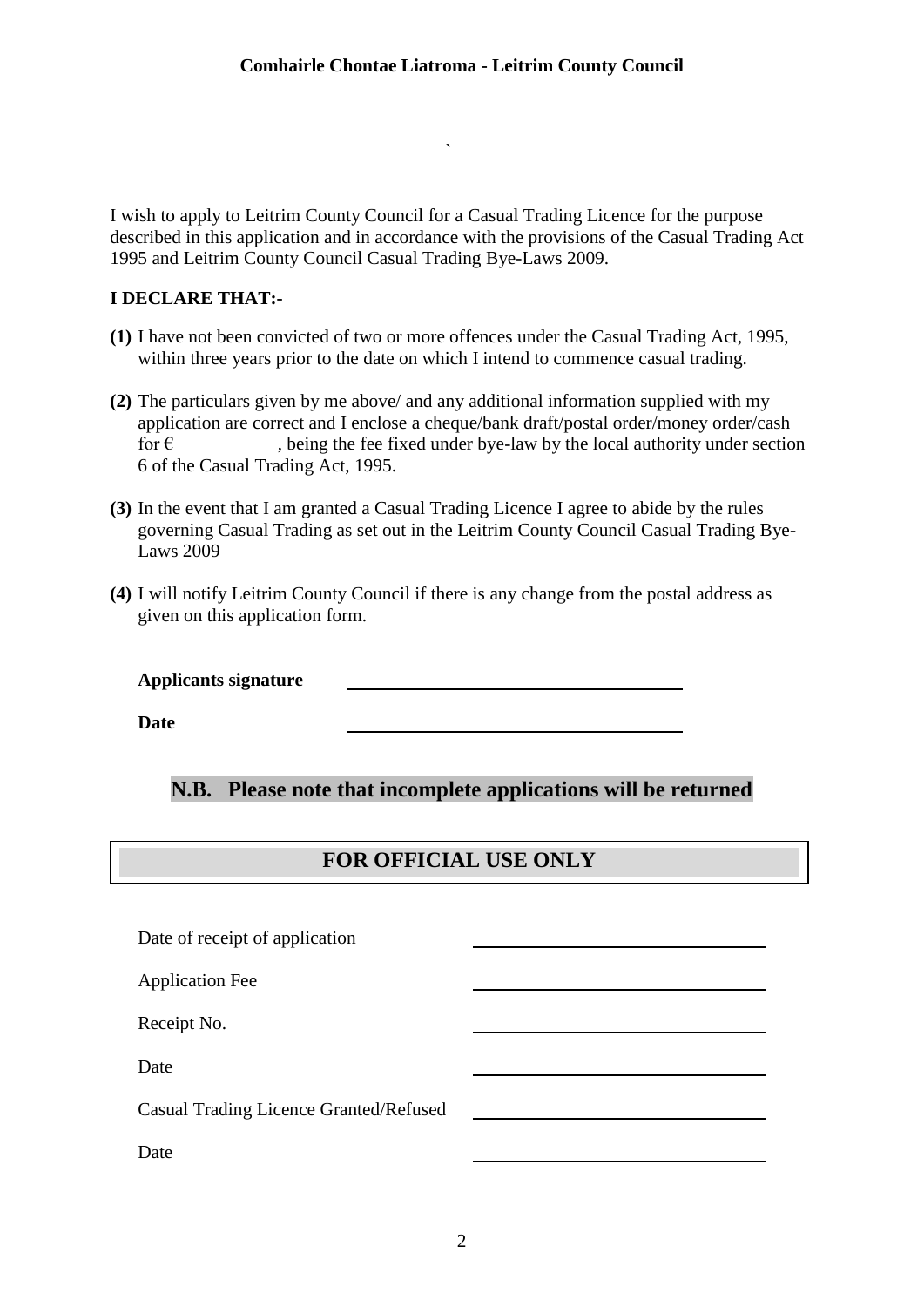I wish to apply to Leitrim County Council for a Casual Trading Licence for the purpose described in this application and in accordance with the provisions of the Casual Trading Act 1995 and Leitrim County Council Casual Trading Bye-Laws 2009.

`

### **I DECLARE THAT:-**

- **(1)** I have not been convicted of two or more offences under the Casual Trading Act, 1995, within three years prior to the date on which I intend to commence casual trading.
- **(2)** The particulars given by me above/ and any additional information supplied with my application are correct and I enclose a cheque/bank draft/postal order/money order/cash for  $\epsilon$ , being the fee fixed under bye-law by the local authority under section 6 of the Casual Trading Act, 1995.
- **(3)** In the event that I am granted a Casual Trading Licence I agree to abide by the rules governing Casual Trading as set out in the Leitrim County Council Casual Trading Bye-Laws 2009
- **(4)** I will notify Leitrim County Council if there is any change from the postal address as given on this application form.

**Applicants signature**

**Date**

## **N.B. Please note that incomplete applications will be returned**

## **FOR OFFICIAL USE ONLY**

| Date of receipt of application         |  |  |  |
|----------------------------------------|--|--|--|
| <b>Application Fee</b>                 |  |  |  |
| Receipt No.                            |  |  |  |
| Date                                   |  |  |  |
| Casual Trading Licence Granted/Refused |  |  |  |
| Date                                   |  |  |  |
|                                        |  |  |  |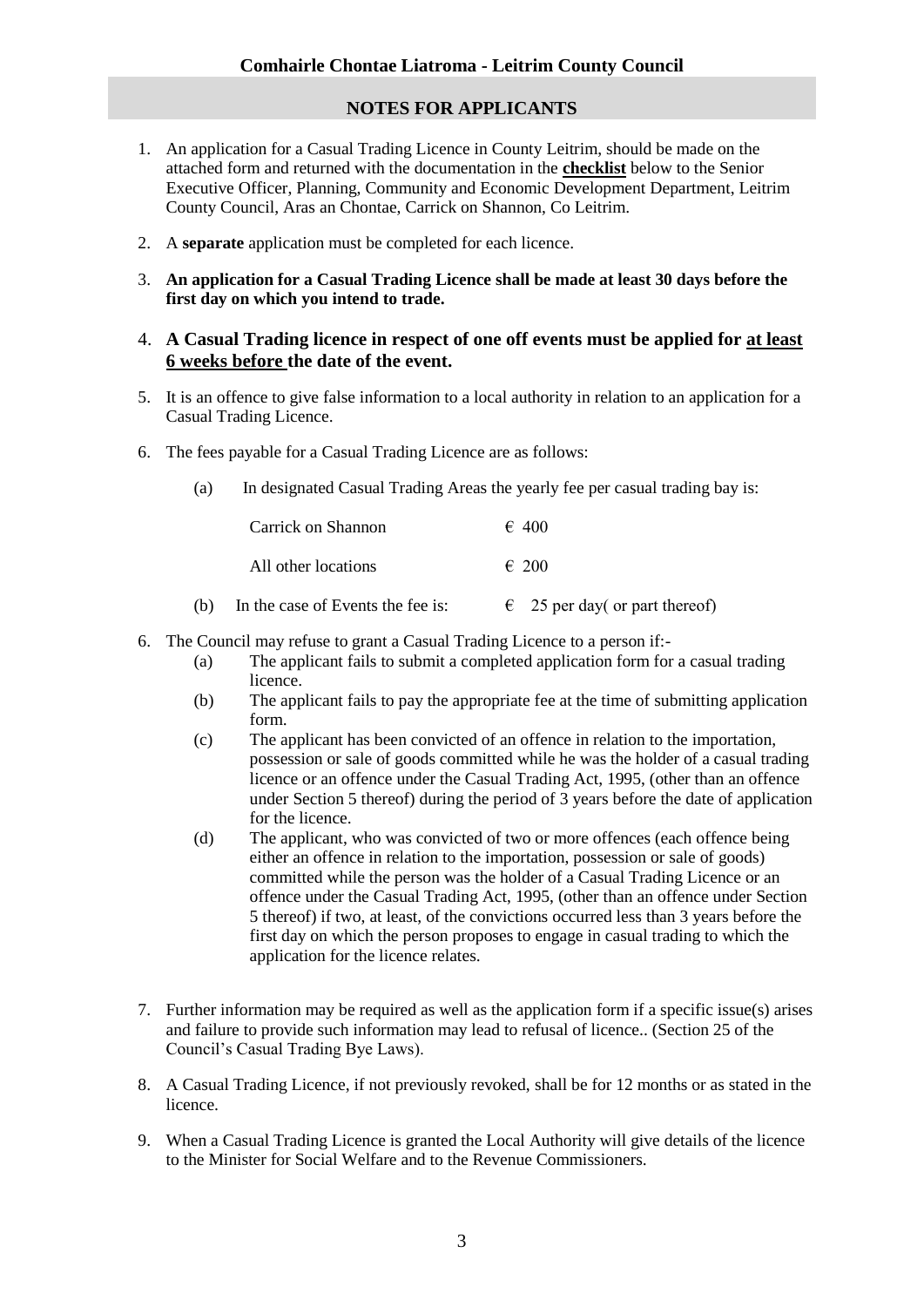### **NOTES FOR APPLICANTS**

- 1. An application for a Casual Trading Licence in County Leitrim, should be made on the attached form and returned with the documentation in the **checklist** below to the Senior Executive Officer, Planning, Community and Economic Development Department, Leitrim County Council, Aras an Chontae, Carrick on Shannon, Co Leitrim.
- 2. A **separate** application must be completed for each licence.
- 3. **An application for a Casual Trading Licence shall be made at least 30 days before the first day on which you intend to trade.**

#### 4. **A Casual Trading licence in respect of one off events must be applied for at least 6 weeks before the date of the event.**

- 5. It is an offence to give false information to a local authority in relation to an application for a Casual Trading Licence.
- 6. The fees payable for a Casual Trading Licence are as follows:
	- (a) In designated Casual Trading Areas the yearly fee per casual trading bay is:

|     | Carrick on Shannon                | $\epsilon$ 400                         |
|-----|-----------------------------------|----------------------------------------|
|     | All other locations               | $\epsilon$ 200                         |
| (b) | In the case of Events the fee is: | $\epsilon$ 25 per day or part thereof) |

- 6. The Council may refuse to grant a Casual Trading Licence to a person if:-
	- (a) The applicant fails to submit a completed application form for a casual trading licence.
	- (b) The applicant fails to pay the appropriate fee at the time of submitting application form.
	- (c) The applicant has been convicted of an offence in relation to the importation, possession or sale of goods committed while he was the holder of a casual trading licence or an offence under the Casual Trading Act, 1995, (other than an offence under Section 5 thereof) during the period of 3 years before the date of application for the licence.
	- (d) The applicant, who was convicted of two or more offences (each offence being either an offence in relation to the importation, possession or sale of goods) committed while the person was the holder of a Casual Trading Licence or an offence under the Casual Trading Act, 1995, (other than an offence under Section 5 thereof) if two, at least, of the convictions occurred less than 3 years before the first day on which the person proposes to engage in casual trading to which the application for the licence relates.
- 7. Further information may be required as well as the application form if a specific issue(s) arises and failure to provide such information may lead to refusal of licence.. (Section 25 of the Council's Casual Trading Bye Laws).
- 8. A Casual Trading Licence, if not previously revoked, shall be for 12 months or as stated in the licence.
- 9. When a Casual Trading Licence is granted the Local Authority will give details of the licence to the Minister for Social Welfare and to the Revenue Commissioners.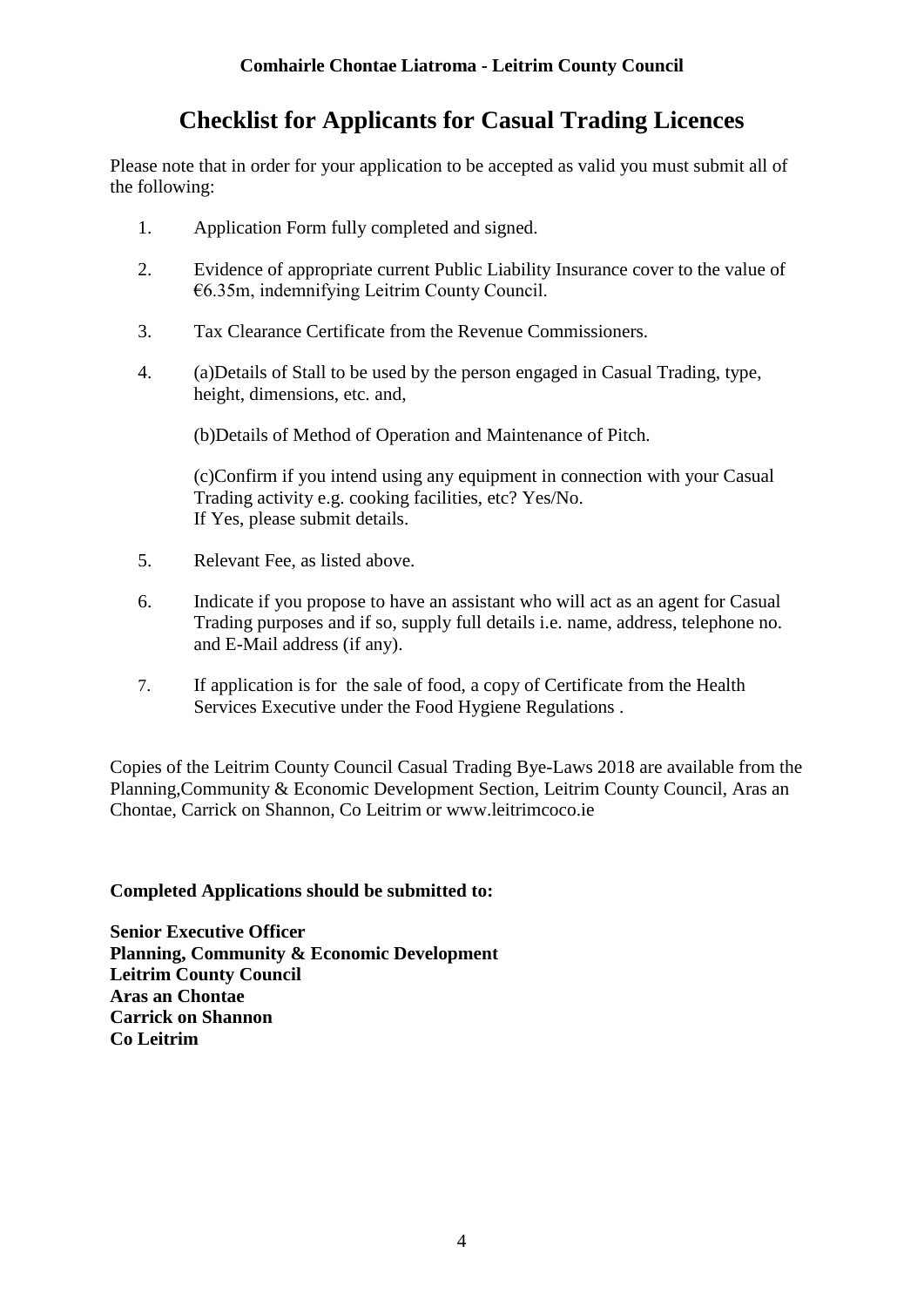# **Checklist for Applicants for Casual Trading Licences**

Please note that in order for your application to be accepted as valid you must submit all of the following:

- 1. Application Form fully completed and signed.
- 2. Evidence of appropriate current Public Liability Insurance cover to the value of €6.35m, indemnifying Leitrim County Council.
- 3. Tax Clearance Certificate from the Revenue Commissioners.
- 4. (a)Details of Stall to be used by the person engaged in Casual Trading, type, height, dimensions, etc. and,

(b)Details of Method of Operation and Maintenance of Pitch.

(c)Confirm if you intend using any equipment in connection with your Casual Trading activity e.g. cooking facilities, etc? Yes/No. If Yes, please submit details.

- 5. Relevant Fee, as listed above.
- 6. Indicate if you propose to have an assistant who will act as an agent for Casual Trading purposes and if so, supply full details i.e. name, address, telephone no. and E-Mail address (if any).
- 7. If application is for the sale of food, a copy of Certificate from the Health Services Executive under the Food Hygiene Regulations .

Copies of the Leitrim County Council Casual Trading Bye-Laws 2018 are available from the Planning,Community & Economic Development Section, Leitrim County Council, Aras an Chontae, Carrick on Shannon, Co Leitrim or www.leitrimcoco.ie

### **Completed Applications should be submitted to:**

**Senior Executive Officer Planning, Community & Economic Development Leitrim County Council Aras an Chontae Carrick on Shannon Co Leitrim**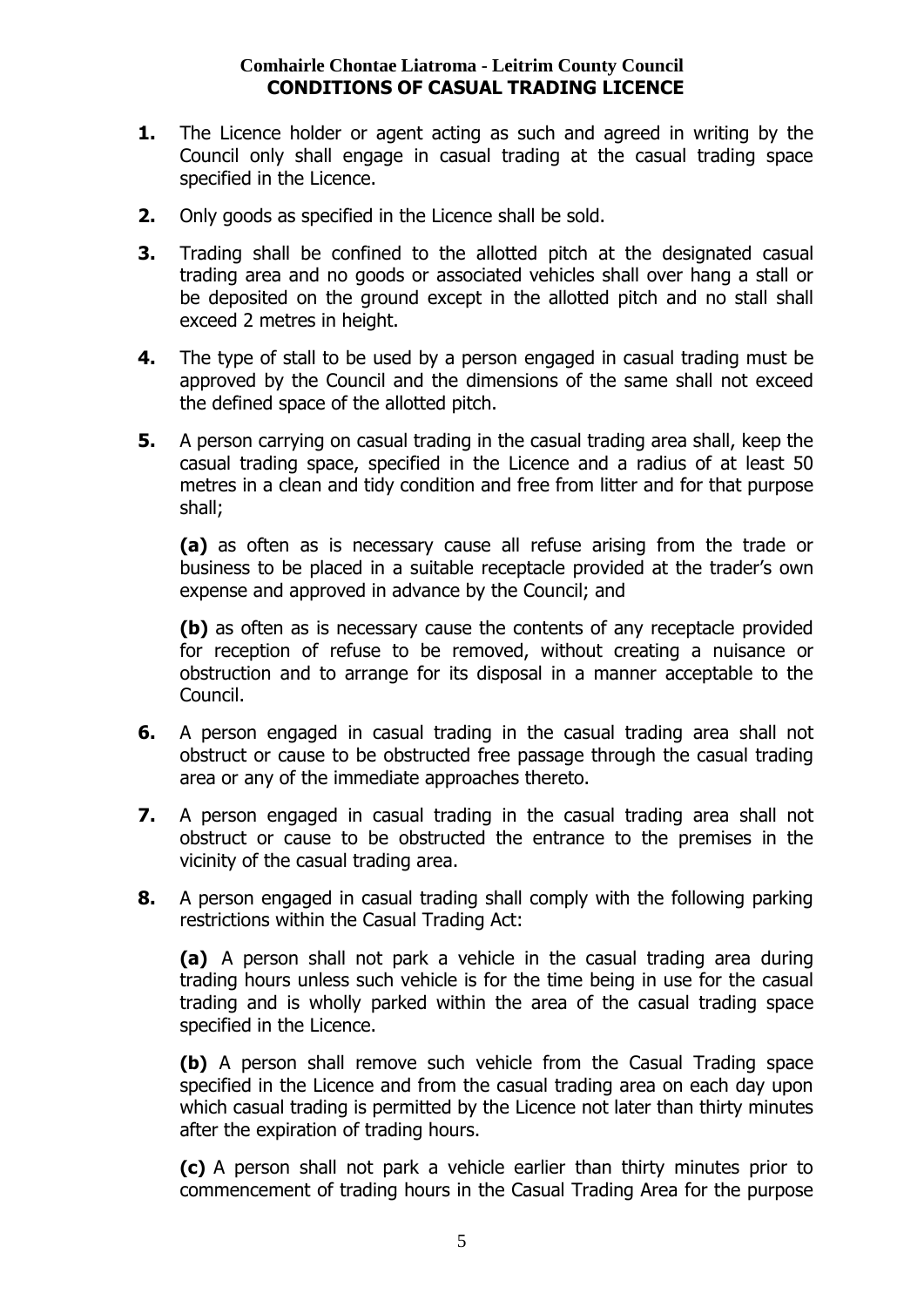### **Comhairle Chontae Liatroma - Leitrim County Council CONDITIONS OF CASUAL TRADING LICENCE**

- **1.** The Licence holder or agent acting as such and agreed in writing by the Council only shall engage in casual trading at the casual trading space specified in the Licence.
- **2.** Only goods as specified in the Licence shall be sold.
- **3.** Trading shall be confined to the allotted pitch at the designated casual trading area and no goods or associated vehicles shall over hang a stall or be deposited on the ground except in the allotted pitch and no stall shall exceed 2 metres in height.
- **4.** The type of stall to be used by a person engaged in casual trading must be approved by the Council and the dimensions of the same shall not exceed the defined space of the allotted pitch.
- **5.** A person carrying on casual trading in the casual trading area shall, keep the casual trading space, specified in the Licence and a radius of at least 50 metres in a clean and tidy condition and free from litter and for that purpose shall;

**(a)** as often as is necessary cause all refuse arising from the trade or business to be placed in a suitable receptacle provided at the trader's own expense and approved in advance by the Council; and

**(b)** as often as is necessary cause the contents of any receptacle provided for reception of refuse to be removed, without creating a nuisance or obstruction and to arrange for its disposal in a manner acceptable to the Council.

- **6.** A person engaged in casual trading in the casual trading area shall not obstruct or cause to be obstructed free passage through the casual trading area or any of the immediate approaches thereto.
- **7.** A person engaged in casual trading in the casual trading area shall not obstruct or cause to be obstructed the entrance to the premises in the vicinity of the casual trading area.
- **8.** A person engaged in casual trading shall comply with the following parking restrictions within the Casual Trading Act:

**(a)** A person shall not park a vehicle in the casual trading area during trading hours unless such vehicle is for the time being in use for the casual trading and is wholly parked within the area of the casual trading space specified in the Licence.

**(b)** A person shall remove such vehicle from the Casual Trading space specified in the Licence and from the casual trading area on each day upon which casual trading is permitted by the Licence not later than thirty minutes after the expiration of trading hours.

**(c)** A person shall not park a vehicle earlier than thirty minutes prior to commencement of trading hours in the Casual Trading Area for the purpose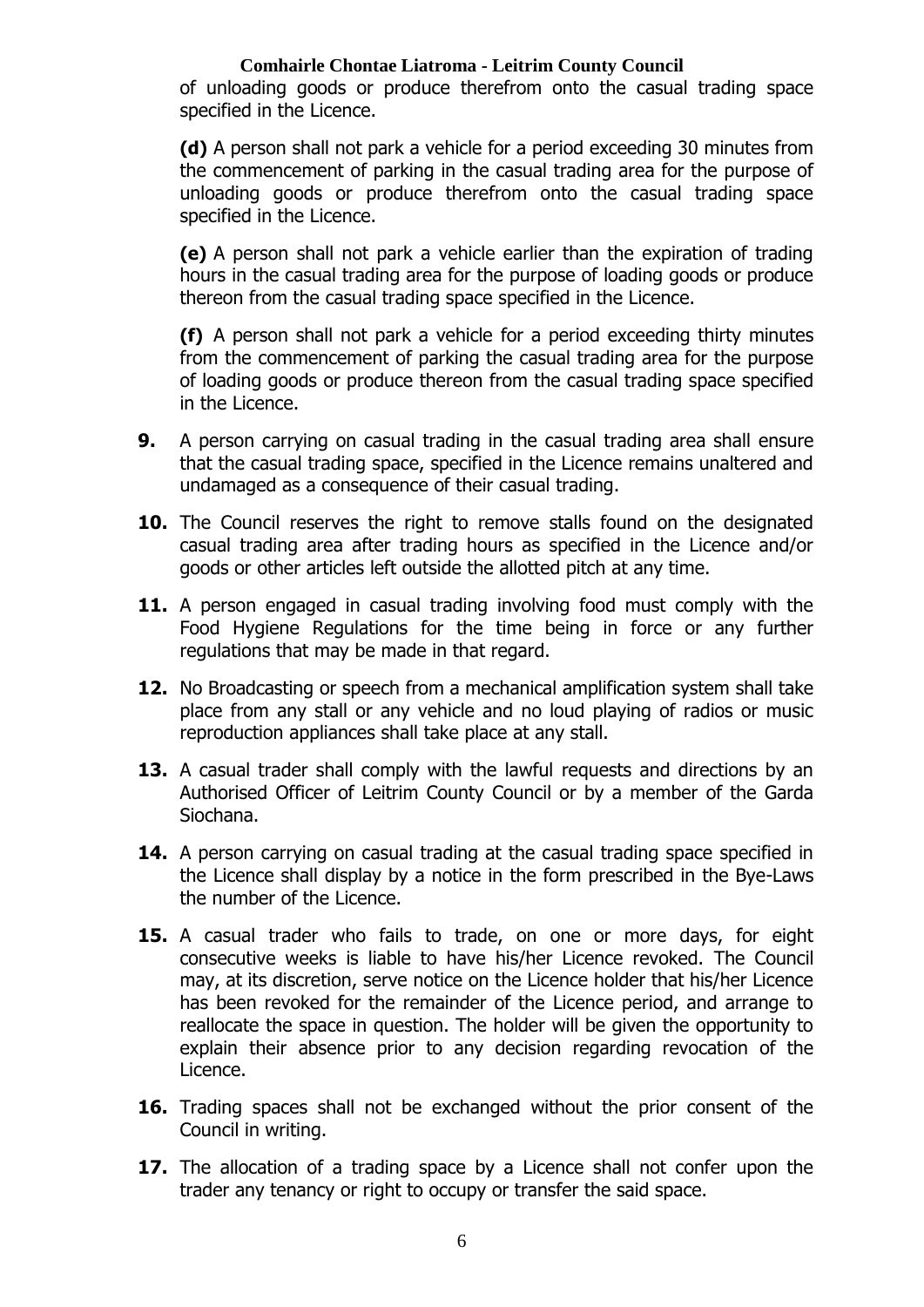### **Comhairle Chontae Liatroma - Leitrim County Council**

of unloading goods or produce therefrom onto the casual trading space specified in the Licence.

**(d)** A person shall not park a vehicle for a period exceeding 30 minutes from the commencement of parking in the casual trading area for the purpose of unloading goods or produce therefrom onto the casual trading space specified in the Licence.

**(e)** A person shall not park a vehicle earlier than the expiration of trading hours in the casual trading area for the purpose of loading goods or produce thereon from the casual trading space specified in the Licence.

**(f)** A person shall not park a vehicle for a period exceeding thirty minutes from the commencement of parking the casual trading area for the purpose of loading goods or produce thereon from the casual trading space specified in the Licence.

- **9.** A person carrying on casual trading in the casual trading area shall ensure that the casual trading space, specified in the Licence remains unaltered and undamaged as a consequence of their casual trading.
- **10.** The Council reserves the right to remove stalls found on the designated casual trading area after trading hours as specified in the Licence and/or goods or other articles left outside the allotted pitch at any time.
- **11.** A person engaged in casual trading involving food must comply with the Food Hygiene Regulations for the time being in force or any further regulations that may be made in that regard.
- **12.** No Broadcasting or speech from a mechanical amplification system shall take place from any stall or any vehicle and no loud playing of radios or music reproduction appliances shall take place at any stall.
- **13.** A casual trader shall comply with the lawful requests and directions by an Authorised Officer of Leitrim County Council or by a member of the Garda Siochana.
- **14.** A person carrying on casual trading at the casual trading space specified in the Licence shall display by a notice in the form prescribed in the Bye-Laws the number of the Licence.
- **15.** A casual trader who fails to trade, on one or more days, for eight consecutive weeks is liable to have his/her Licence revoked. The Council may, at its discretion, serve notice on the Licence holder that his/her Licence has been revoked for the remainder of the Licence period, and arrange to reallocate the space in question. The holder will be given the opportunity to explain their absence prior to any decision regarding revocation of the Licence.
- **16.** Trading spaces shall not be exchanged without the prior consent of the Council in writing.
- **17.** The allocation of a trading space by a Licence shall not confer upon the trader any tenancy or right to occupy or transfer the said space.